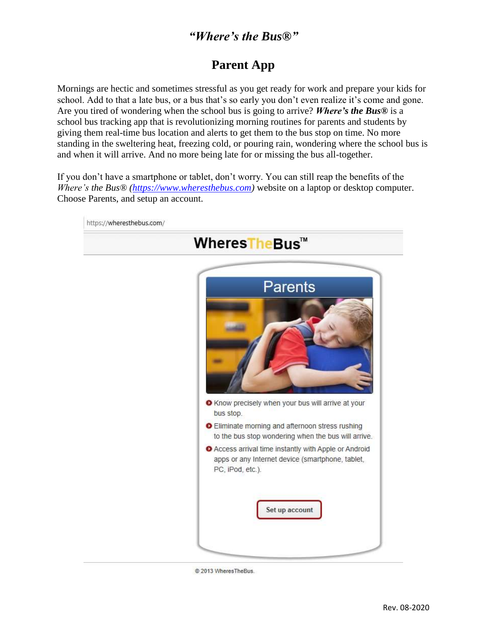#### *"Where's the Bus®"*

## **Parent App**

Mornings are hectic and sometimes stressful as you get ready for work and prepare your kids for school. Add to that a late bus, or a bus that's so early you don't even realize it's come and gone. Are you tired of wondering when the school bus is going to arrive? *Where's the Bus®* is a school bus tracking app that is revolutionizing morning routines for parents and students by giving them real-time bus location and alerts to get them to the bus stop on time. No more standing in the sweltering heat, freezing cold, or pouring rain, wondering where the school bus is and when it will arrive. And no more being late for or missing the bus all-together.

If you don't have a smartphone or tablet, don't worry. You can still reap the benefits of the *Where's the Bus® [\(https://www.wheresthebus.com\)](https://www.wheresthebus.com/)* website on a laptop or desktop computer. Choose Parents, and setup an account.



@ 2013 WheresTheBus.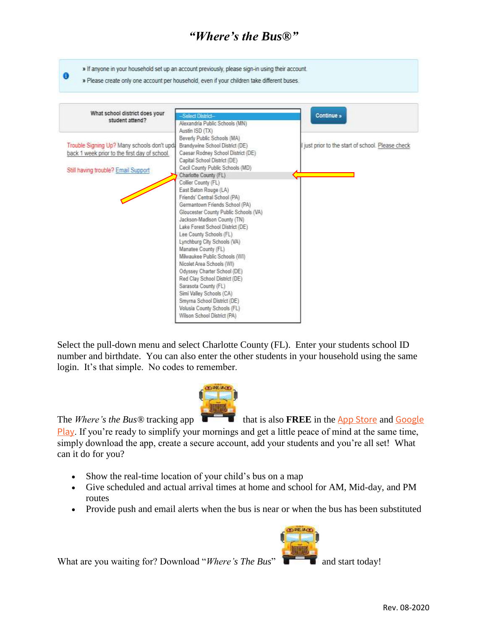### *"Where's the Bus®"*

» If anyone in your household set up an account previously, please sign-in using their account. θ » Please create only one account per household, even if your children take different buses. What school district does your Continue » elect District student attend? Alexandria Public Schools (MN) Austin ISD (TX) Beverly Public Schools (MA) Trouble Signing Up? Many schools don't upd-Brandywine School District (DE) just prior to the start of school. Please check back 1 week prior to the first day of school. Caesar Rodney School District (DE) Canital School District (DE) Cecil County Public Schools (MD) Still having trouble? Email Support Charlotte County (FL) Collier County (FL) East Baton Rouge (LA) Friends' Central School (PA) Germantown Friends School (PA) Gloucester County Public Schools (VA) Jackson-Madison County (TN) Lake Forest School District (DE) Lee County Schools (FL) Lynchburg City Schools (VA) Manatee County (FL) Milwaukee Public Schools (WI) Nicolet Area Schools (WI) Odyssey Charter School (DE) Red Clay School District (DE) Sarasota County (FL) Simi Valley Schools (CA) Smyrna School District (DE) Volusia County Schools (FL) Wilson School District (PA)

Select the pull-down menu and select Charlotte County (FL). Enter your students school ID number and birthdate. You can also enter the other students in your household using the same login. It's that simple. No codes to remember.



The *Where's the Bus*<sup>®</sup> tracking app **that is also FREE** in the [App Store](https://itunes.apple.com/us/app/here-comes-the-bus/id981902595?mt=8&ign-mpt=uo%3D4) and Google

[Play](https://play.google.com/store/apps/details?id=com.synovia.herecomesthebus). If you're ready to simplify your mornings and get a little peace of mind at the same time, simply download the app, create a secure account, add your students and you're all set! What can it do for you?

- Show the real-time location of your child's bus on a map
- Give scheduled and actual arrival times at home and school for AM, Mid-day, and PM routes
- Provide push and email alerts when the bus is near or when the bus has been substituted

What are you waiting for? Download "*Where's The Bus*" and start today!